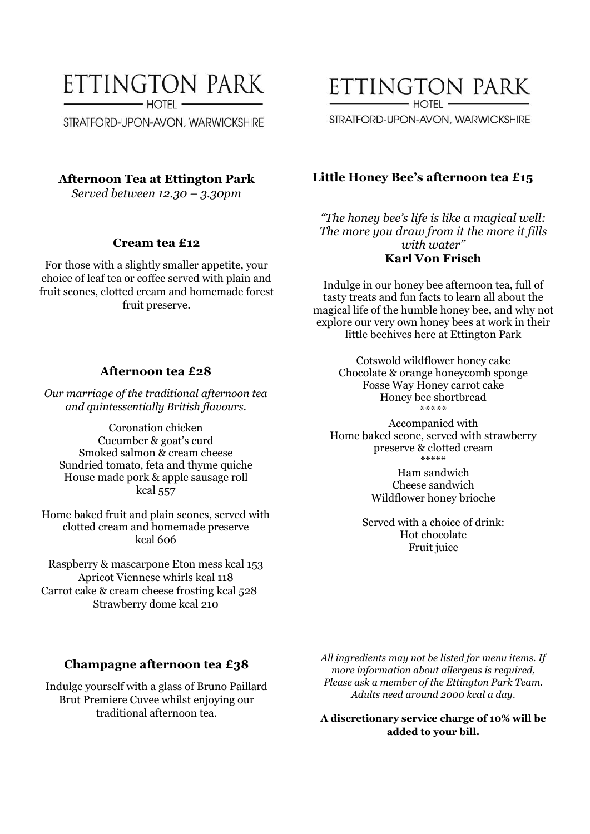# ETTINGTON PARK  $-$  hotel  $-$

STRATFORD-UPON-AVON, WARWICKSHIRE

#### **Afternoon Tea at Ettington Park**

*Served between 12.30 – 3.30pm*

#### **Cream tea £12**

For those with a slightly smaller appetite, your choice of leaf tea or coffee served with plain and fruit scones, clotted cream and homemade forest fruit preserve.

#### **Afternoon tea £28**

*Our marriage of the traditional afternoon tea and quintessentially British flavours.*

Coronation chicken Cucumber & goat's curd Smoked salmon & cream cheese Sundried tomato, feta and thyme quiche House made pork & apple sausage roll kcal 557

Home baked fruit and plain scones, served with clotted cream and homemade preserve kcal 606

Raspberry & mascarpone Eton mess kcal 153 Apricot Viennese whirls kcal 118 Carrot cake & cream cheese frosting kcal 528 Strawberry dome kcal 210

#### **Champagne afternoon tea £38**

Indulge yourself with a glass of Bruno Paillard Brut Premiere Cuvee whilst enjoying our traditional afternoon tea.

*All ingredients may not be listed for menu items. If more information about allergens is required, Please ask a member of the Ettington Park Team. Adults need around 2000 kcal a day.*

**A discretionary service charge of 10% will be added to your bill.**

ETTINGTON PARK  $H$  $O$  $TH$  -

STRATFORD-UPON-AVON, WARWICKSHIRE

#### **Little Honey Bee's afternoon tea £15**

*"The honey bee's life is like a magical well: The more you draw from it the more it fills with water''* **Karl Von Frisch**

Indulge in our honey bee afternoon tea, full of tasty treats and fun facts to learn all about the magical life of the humble honey bee, and why not explore our very own honey bees at work in their little beehives here at Ettington Park

> Cotswold wildflower honey cake Chocolate & orange honeycomb sponge Fosse Way Honey carrot cake Honey bee shortbread \*\*\*\*\*

Accompanied with Home baked scone, served with strawberry preserve & clotted cream \*\*\*\*\*

> Ham sandwich Cheese sandwich Wildflower honey brioche

Served with a choice of drink: Hot chocolate Fruit juice